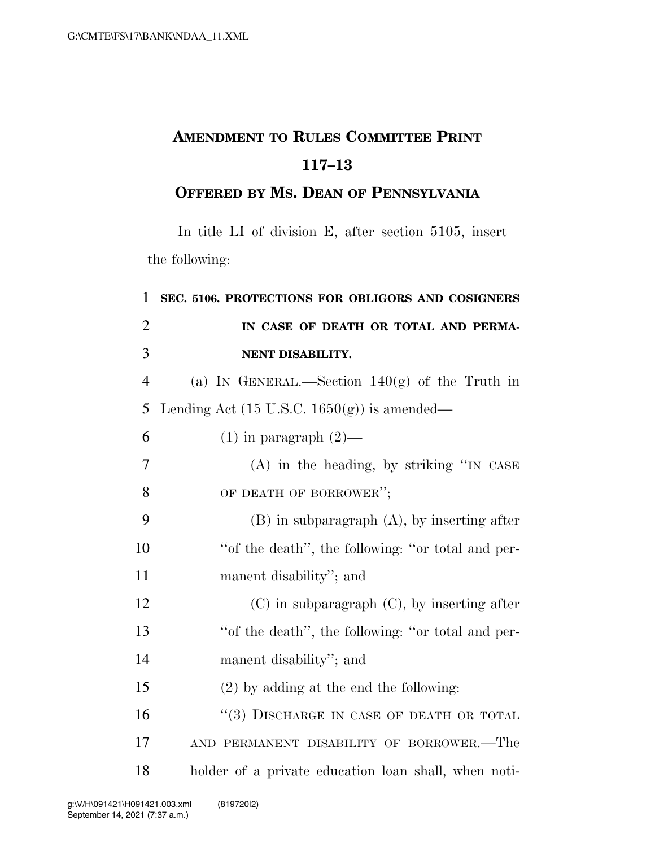## **AMENDMENT TO RULES COMMITTEE PRINT 117–13**

## **OFFERED BY MS. DEAN OF PENNSYLVANIA**

In title LI of division E, after section 5105, insert the following:

| 1              | SEC. 5106. PROTECTIONS FOR OBLIGORS AND COSIGNERS      |
|----------------|--------------------------------------------------------|
| $\overline{2}$ | IN CASE OF DEATH OR TOTAL AND PERMA-                   |
| 3              | NENT DISABILITY.                                       |
| $\overline{4}$ | (a) IN GENERAL.—Section $140(g)$ of the Truth in       |
| 5              | Lending Act $(15 \text{ U.S.C. } 1650(g))$ is amended— |
| 6              | $(1)$ in paragraph $(2)$ —                             |
| 7              | $(A)$ in the heading, by striking "IN CASE             |
| 8              | OF DEATH OF BORROWER";                                 |
| 9              | $(B)$ in subparagraph $(A)$ , by inserting after       |
| 10             | "of the death", the following: "or total and per-      |
| 11             | manent disability"; and                                |
| 12             | $(C)$ in subparagraph $(C)$ , by inserting after       |
| 13             | "of the death", the following: "or total and per-      |
| 14             | manent disability"; and                                |
| 15             | $(2)$ by adding at the end the following:              |
| 16             | "(3) DISCHARGE IN CASE OF DEATH OR TOTAL               |
| 17             | AND PERMANENT DISABILITY OF BORROWER.-The              |
| 18             | holder of a private education loan shall, when noti-   |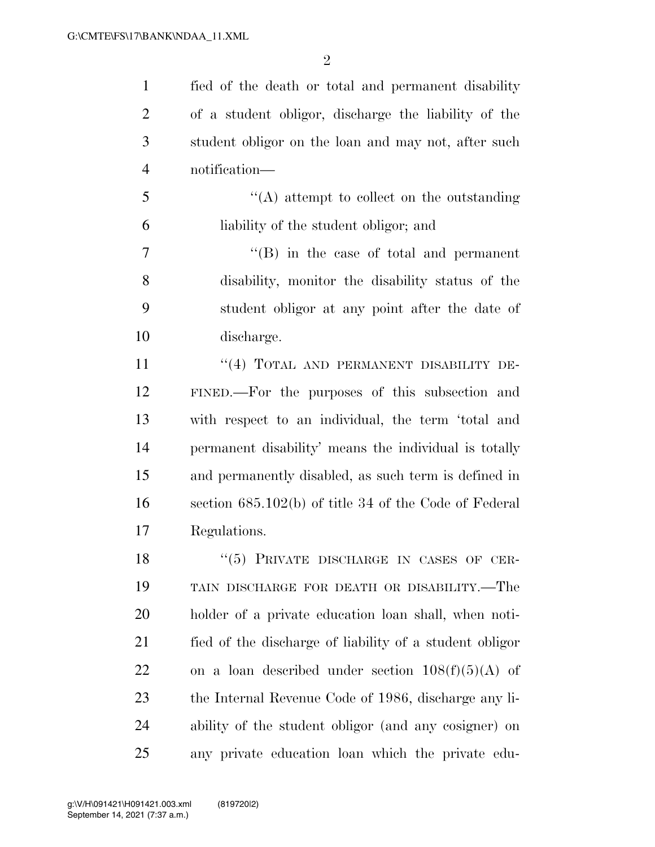$\mathfrak{D}$ 

 fied of the death or total and permanent disability of a student obligor, discharge the liability of the student obligor on the loan and may not, after such notification—

 ''(A) attempt to collect on the outstanding liability of the student obligor; and

 ''(B) in the case of total and permanent disability, monitor the disability status of the student obligor at any point after the date of discharge.

11 "(4) TOTAL AND PERMANENT DISABILITY DE- FINED.—For the purposes of this subsection and with respect to an individual, the term 'total and permanent disability' means the individual is totally and permanently disabled, as such term is defined in section 685.102(b) of title 34 of the Code of Federal Regulations.

18 "(5) PRIVATE DISCHARGE IN CASES OF CER- TAIN DISCHARGE FOR DEATH OR DISABILITY.—The holder of a private education loan shall, when noti- fied of the discharge of liability of a student obligor 22 on a loan described under section  $108(f)(5)(A)$  of the Internal Revenue Code of 1986, discharge any li- ability of the student obligor (and any cosigner) on any private education loan which the private edu